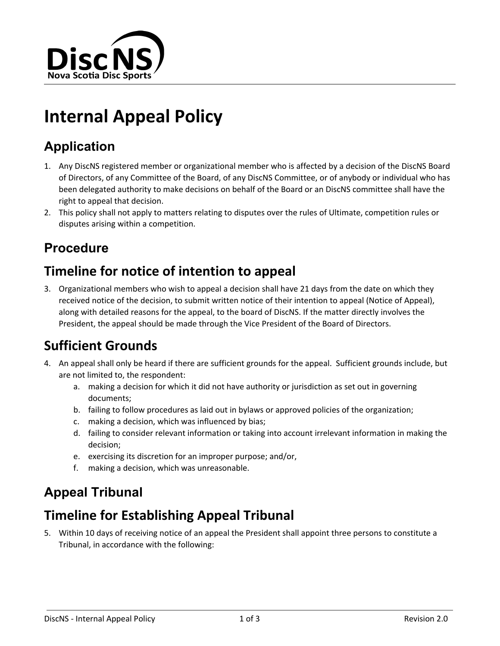

# **Internal Appeal Policy**

# **Application**

- 1. Any DiscNS registered member or organizational member who is affected by a decision of the DiscNS Board of Directors, of any Committee of the Board, of any DiscNS Committee, or of anybody or individual who has been delegated authority to make decisions on behalf of the Board or an DiscNS committee shall have the right to appeal that decision.
- 2. This policy shall not apply to matters relating to disputes over the rules of Ultimate, competition rules or disputes arising within a competition.

# **Procedure**

# **Timeline for notice of intention to appeal**

3. Organizational members who wish to appeal a decision shall have 21 days from the date on which they received notice of the decision, to submit written notice of their intention to appeal (Notice of Appeal), along with detailed reasons for the appeal, to the board of DiscNS. If the matter directly involves the President, the appeal should be made through the Vice President of the Board of Directors.

# **Sufficient Grounds**

- 4. An appeal shall only be heard if there are sufficient grounds for the appeal. Sufficient grounds include, but are not limited to, the respondent:
	- a. making a decision for which it did not have authority or jurisdiction as set out in governing documents;
	- b. failing to follow procedures as laid out in bylaws or approved policies of the organization;
	- c. making a decision, which was influenced by bias;
	- d. failing to consider relevant information or taking into account irrelevant information in making the decision;
	- e. exercising its discretion for an improper purpose; and/or,
	- f. making a decision, which was unreasonable.

# **Appeal Tribunal**

# **Timeline for Establishing Appeal Tribunal**

5. Within 10 days of receiving notice of an appeal the President shall appoint three persons to constitute a Tribunal, in accordance with the following: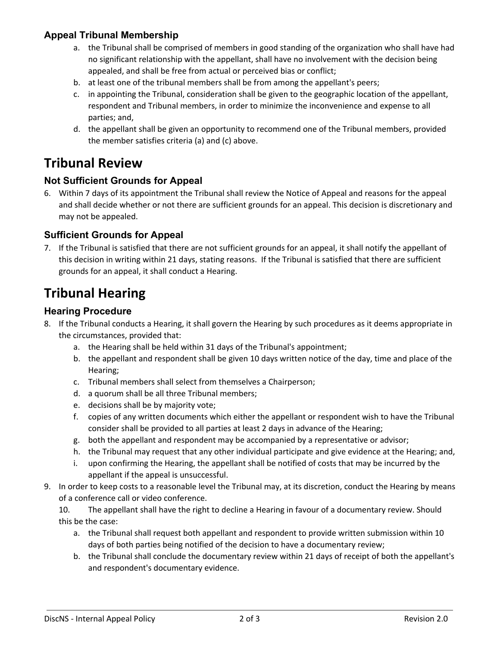#### **Appeal Tribunal Membership**

- a. the Tribunal shall be comprised of members in good standing of the organization who shall have had no significant relationship with the appellant, shall have no involvement with the decision being appealed, and shall be free from actual or perceived bias or conflict;
- b. at least one of the tribunal members shall be from among the appellant's peers;
- c. in appointing the Tribunal, consideration shall be given to the geographic location of the appellant, respondent and Tribunal members, in order to minimize the inconvenience and expense to all parties; and,
- d. the appellant shall be given an opportunity to recommend one of the Tribunal members, provided the member satisfies criteria (a) and (c) above.

### **Tribunal Review**

#### **Not Sufficient Grounds for Appeal**

6. Within 7 days of its appointment the Tribunal shall review the Notice of Appeal and reasons for the appeal and shall decide whether or not there are sufficient grounds for an appeal. This decision is discretionary and may not be appealed.

#### **Sufficient Grounds for Appeal**

7. If the Tribunal is satisfied that there are not sufficient grounds for an appeal, it shall notify the appellant of this decision in writing within 21 days, stating reasons. If the Tribunal is satisfied that there are sufficient grounds for an appeal, it shall conduct a Hearing.

### **Tribunal Hearing**

#### **Hearing Procedure**

- 8. If the Tribunal conducts a Hearing, it shall govern the Hearing by such procedures as it deems appropriate in the circumstances, provided that:
	- a. the Hearing shall be held within 31 days of the Tribunal's appointment;
	- b. the appellant and respondent shall be given 10 days written notice of the day, time and place of the Hearing;
	- c. Tribunal members shall select from themselves a Chairperson;
	- d. a quorum shall be all three Tribunal members;
	- e. decisions shall be by majority vote;
	- f. copies of any written documents which either the appellant or respondent wish to have the Tribunal consider shall be provided to all parties at least 2 days in advance of the Hearing;
	- g. both the appellant and respondent may be accompanied by a representative or advisor;
	- h. the Tribunal may request that any other individual participate and give evidence at the Hearing; and,
	- i. upon confirming the Hearing, the appellant shall be notified of costs that may be incurred by the appellant if the appeal is unsuccessful.
- 9. In order to keep costs to a reasonable level the Tribunal may, at its discretion, conduct the Hearing by means of a conference call or video conference.
	- 10. The appellant shall have the right to decline a Hearing in favour of a documentary review. Should this be the case:
		- a. the Tribunal shall request both appellant and respondent to provide written submission within 10 days of both parties being notified of the decision to have a documentary review;
		- b. the Tribunal shall conclude the documentary review within 21 days of receipt of both the appellant's and respondent's documentary evidence.